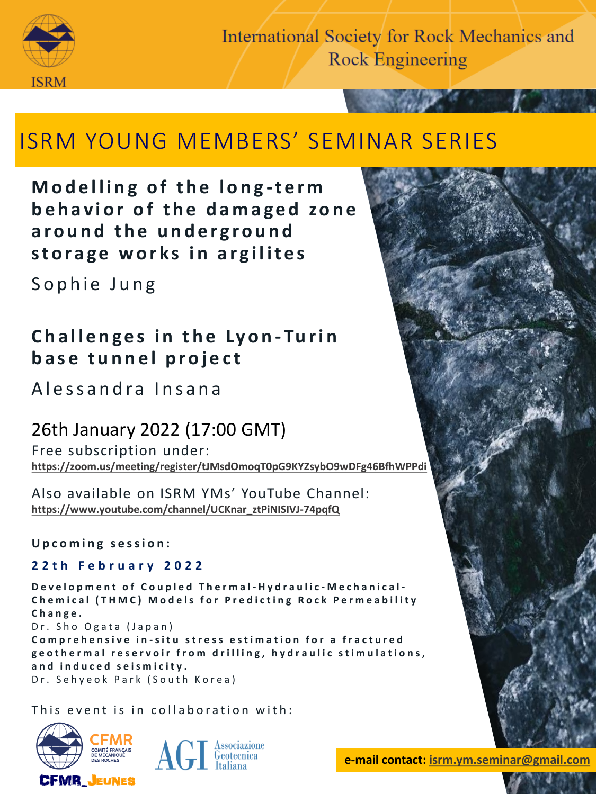

**International Society for Rock Mechanics and Rock Engineering** 

# ISRM YOUNG MEMBERS' SEMINAR SERIES

**Modelling of the long-term** behavior of the damaged zone around the underground storage works in argilites

Sophie Jung

## **Challenges in the Lyon-Turin base tunnel project**

A lessandra Insana

## 26th January 2022 (17:00 GMT)

Free subscription under: **<https://zoom.us/meeting/register/tJMsdOmoqT0pG9KYZsybO9wDFg46BfhWPPdi>**

Also available on ISRM YMs' YouTube Channel: **[https://www.youtube.com/channel/UCKnar\\_ztPiNISIVJ-74pqfQ](https://www.youtube.com/channel/UCKnar_ztPiNISIVJ-74pqfQ)**

**U p c o m i n g s e s s i o n :**

#### **2 2 t h F e b r u a r y 2 0 2 2**

**D e v e l o p m e n t o f C o u p l e d T h e r m a l - H y d r a u l i c - M e c h a n i c a l - Chemical (THMC) Models for Predicting Rock Permeability C h a n g e .** Dr. Sho Ogata (Japan) **Comprehensive in-situ stress estimation for a fractured** 

geothermal reservoir from drilling, hydraulic stimulations, **a n d i n d u c e d s e i s m i c i t y .** Dr. Sehyeok Park (South Korea)

This event is in collaboration with:





**FABRIKAM e-mail contact: [isrm.ym.seminar@gmail.com](mailto:isrm.ym.seminar@gmail.com)**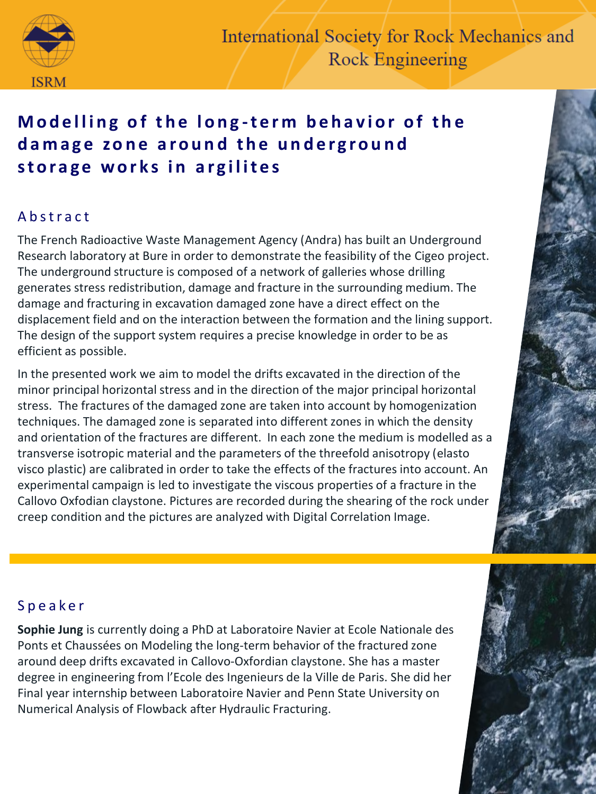

## **Modelling of the long-term behavior of the** damage zone around the underground storage works in argilites

### A b s t r a c t

The French Radioactive Waste Management Agency (Andra) has built an Underground Research laboratory at Bure in order to demonstrate the feasibility of the Cigeo project. The underground structure is composed of a network of galleries whose drilling generates stress redistribution, damage and fracture in the surrounding medium. The damage and fracturing in excavation damaged zone have a direct effect on the displacement field and on the interaction between the formation and the lining support. The design of the support system requires a precise knowledge in order to be as efficient as possible.

In the presented work we aim to model the drifts excavated in the direction of the minor principal horizontal stress and in the direction of the major principal horizontal stress. The fractures of the damaged zone are taken into account by homogenization techniques. The damaged zone is separated into different zones in which the density and orientation of the fractures are different. In each zone the medium is modelled as a transverse isotropic material and the parameters of the threefold anisotropy (elasto visco plastic) are calibrated in order to take the effects of the fractures into account. An experimental campaign is led to investigate the viscous properties of a fracture in the Callovo Oxfodian claystone. Pictures are recorded during the shearing of the rock under creep condition and the pictures are analyzed with Digital Correlation Image.

### S p e a k e r

**Sophie Jung** is currently doing a PhD at Laboratoire Navier at Ecole Nationale des Ponts et Chaussées on Modeling the long-term behavior of the fractured zone around deep drifts excavated in Callovo-Oxfordian claystone. She has a master degree in engineering from l'Ecole des Ingenieurs de la Ville de Paris. She did her Final year internship between Laboratoire Navier and Penn State University on Numerical Analysis of Flowback after Hydraulic Fracturing.